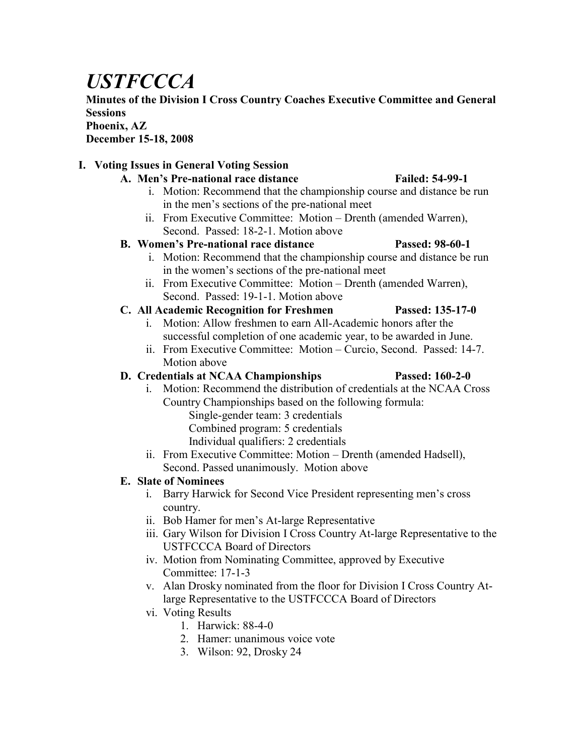# *USTFCCCA*

**Minutes of the Division I Cross Country Coaches Executive Committee and General Sessions**

#### **Phoenix, AZ**

**December 15-18, 2008**

# **I. Voting Issues in General Voting Session**

- A. Men's Pre-national race distance Failed: 54-99-1
	- i. Motion: Recommend that the championship course and distance be run in the men's sections of the pre-national meet
	- ii. From Executive Committee: Motion Drenth (amended Warren), Second. Passed: 18-2-1. Motion above

# **B. Women's Pre-national race distance Passed: 98-60-1**

- i. Motion: Recommend that the championship course and distance be run in the women's sections of the pre-national meet
- ii. From Executive Committee: Motion Drenth (amended Warren), Second. Passed: 19-1-1. Motion above

# **C. All Academic Recognition for Freshmen Passed: 135-17-0**

- i. Motion: Allow freshmen to earn All-Academic honors after the successful completion of one academic year, to be awarded in June.
- ii. From Executive Committee: Motion Curcio, Second. Passed: 14-7. Motion above

# **D. Credentials at NCAA Championships Passed: 160-2-0**

- i. Motion: Recommend the distribution of credentials at the NCAA Cross Country Championships based on the following formula:
	- Single-gender team: 3 credentials Combined program: 5 credentials Individual qualifiers: 2 credentials
- ii. From Executive Committee: Motion Drenth (amended Hadsell), Second. Passed unanimously. Motion above

# **E. Slate of Nominees**

- i. Barry Harwick for Second Vice President representing men's cross country.
- ii. Bob Hamer for men's At-large Representative
- iii. Gary Wilson for Division I Cross Country At-large Representative to the USTFCCCA Board of Directors
- iv. Motion from Nominating Committee, approved by Executive Committee: 17-1-3
- v. Alan Drosky nominated from the floor for Division I Cross Country Atlarge Representative to the USTFCCCA Board of Directors
- vi. Voting Results
	- 1. Harwick: 88-4-0
	- 2. Hamer: unanimous voice vote
	- 3. Wilson: 92, Drosky 24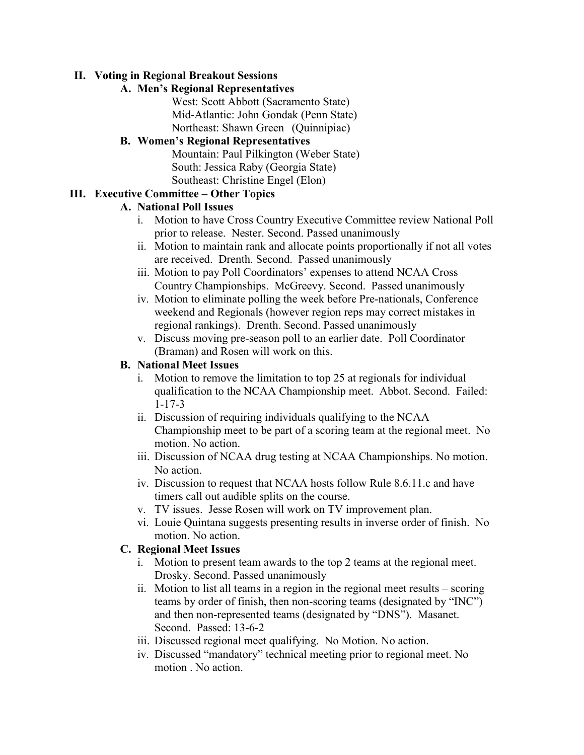#### **II. Voting in Regional Breakout Sessions**

# **A. Men's Regional Representatives**

West: Scott Abbott (Sacramento State) Mid-Atlantic: John Gondak (Penn State) Northeast: Shawn Green (Quinnipiac)

# **B. Women's Regional Representatives**

Mountain: Paul Pilkington (Weber State) South: Jessica Raby (Georgia State) Southeast: Christine Engel (Elon)

# **III. Executive Committee – Other Topics**

# **A. National Poll Issues**

- i. Motion to have Cross Country Executive Committee review National Poll prior to release. Nester. Second. Passed unanimously
- ii. Motion to maintain rank and allocate points proportionally if not all votes are received. Drenth. Second. Passed unanimously
- iii. Motion to pay Poll Coordinators' expenses to attend NCAA Cross Country Championships. McGreevy. Second. Passed unanimously
- iv. Motion to eliminate polling the week before Pre-nationals, Conference weekend and Regionals (however region reps may correct mistakes in regional rankings). Drenth. Second. Passed unanimously
- v. Discuss moving pre-season poll to an earlier date. Poll Coordinator (Braman) and Rosen will work on this.

# **B. National Meet Issues**

- i. Motion to remove the limitation to top 25 at regionals for individual qualification to the NCAA Championship meet. Abbot. Second. Failed: 1-17-3
- ii. Discussion of requiring individuals qualifying to the NCAA Championship meet to be part of a scoring team at the regional meet. No motion. No action.
- iii. Discussion of NCAA drug testing at NCAA Championships. No motion. No action.
- iv. Discussion to request that NCAA hosts follow Rule 8.6.11.c and have timers call out audible splits on the course.
- v. TV issues. Jesse Rosen will work on TV improvement plan.
- vi. Louie Quintana suggests presenting results in inverse order of finish. No motion. No action.

#### **C. Regional Meet Issues**

- i. Motion to present team awards to the top 2 teams at the regional meet. Drosky. Second. Passed unanimously
- ii. Motion to list all teams in a region in the regional meet results scoring teams by order of finish, then non-scoring teams (designated by "INC") and then non-represented teams (designated by "DNS"). Masanet. Second. Passed: 13-6-2
- iii. Discussed regional meet qualifying. No Motion. No action.
- iv. Discussed "mandatory" technical meeting prior to regional meet. No motion . No action.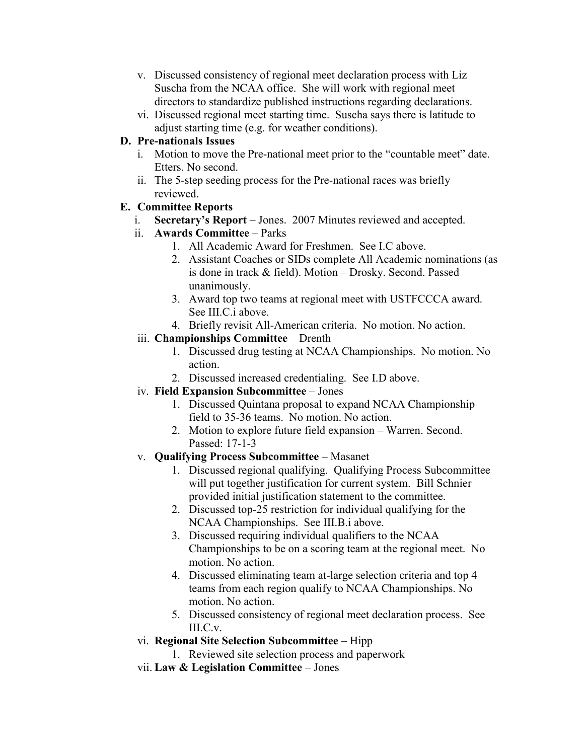- v. Discussed consistency of regional meet declaration process with Liz Suscha from the NCAA office. She will work with regional meet directors to standardize published instructions regarding declarations.
- vi. Discussed regional meet starting time. Suscha says there is latitude to adjust starting time (e.g. for weather conditions).

# **D. Pre-nationals Issues**

- i. Motion to move the Pre-national meet prior to the "countable meet" date. Etters. No second.
- ii. The 5-step seeding process for the Pre-national races was briefly reviewed.

# **E. Committee Reports**

- i. **Secretary's Report** Jones. 2007 Minutes reviewed and accepted.
- ii. **Awards Committee** Parks
	- 1. All Academic Award for Freshmen. See I.C above.
	- 2. Assistant Coaches or SIDs complete All Academic nominations (as is done in track & field). Motion – Drosky. Second. Passed unanimously.
	- 3. Award top two teams at regional meet with USTFCCCA award. See III.C.i above.
	- 4. Briefly revisit All-American criteria. No motion. No action.

# iii. **Championships Committee** – Drenth

- 1. Discussed drug testing at NCAA Championships. No motion. No action.
- 2. Discussed increased credentialing. See I.D above.

# iv. **Field Expansion Subcommittee** – Jones

- 1. Discussed Quintana proposal to expand NCAA Championship field to 35-36 teams. No motion. No action.
- 2. Motion to explore future field expansion Warren. Second. Passed: 17-1-3
- v. **Qualifying Process Subcommittee** Masanet
	- 1. Discussed regional qualifying. Qualifying Process Subcommittee will put together justification for current system. Bill Schnier provided initial justification statement to the committee.
	- 2. Discussed top-25 restriction for individual qualifying for the NCAA Championships. See III.B.i above.
	- 3. Discussed requiring individual qualifiers to the NCAA Championships to be on a scoring team at the regional meet. No motion. No action.
	- 4. Discussed eliminating team at-large selection criteria and top 4 teams from each region qualify to NCAA Championships. No motion. No action.
	- 5. Discussed consistency of regional meet declaration process. See III.C.v.
- vi. **Regional Site Selection Subcommittee** Hipp
	- 1. Reviewed site selection process and paperwork
- vii. **Law & Legislation Committee** Jones